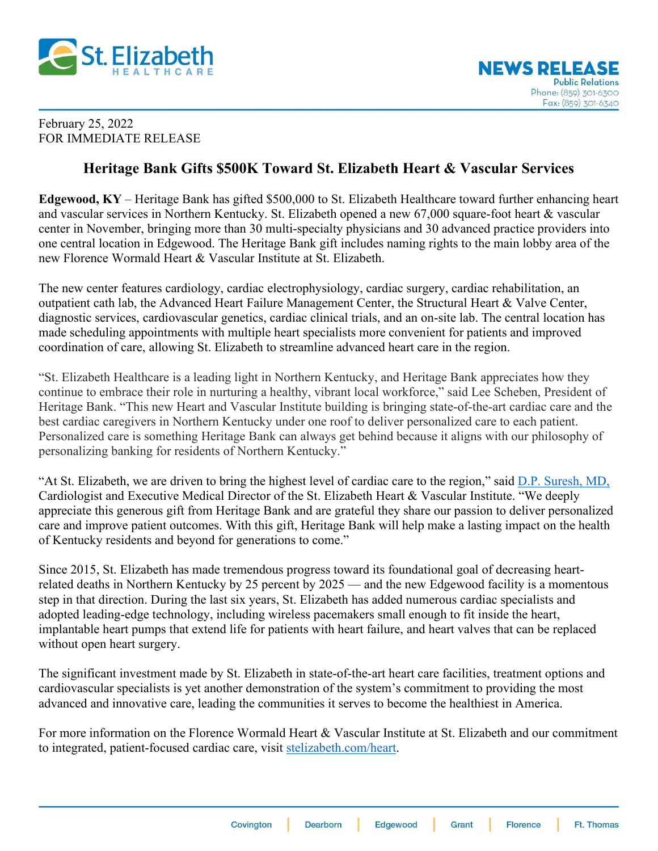

## February 25, 2022 FOR IMMEDIATE RELEASE

## **Heritage Bank Gifts \$500K Toward St. Elizabeth Heart & Vascular Services**

**Edgewood, KY** – Heritage Bank has gifted \$500,000 to St. Elizabeth Healthcare toward further enhancing heart and vascular services in Northern Kentucky. St. Elizabeth opened a new 67,000 square-foot heart & vascular center in November, bringing more than 30 multi-specialty physicians and 30 advanced practice providers into one central location in Edgewood. The Heritage Bank gift includes naming rights to the main lobby area of the new Florence Wormald Heart & Vascular Institute at St. Elizabeth.

The new center features cardiology, cardiac electrophysiology, cardiac surgery, cardiac rehabilitation, an outpatient cath lab, the Advanced Heart Failure Management Center, the Structural Heart & Valve Center, diagnostic services, cardiovascular genetics, cardiac clinical trials, and an on-site lab. The central location has made scheduling appointments with multiple heart specialists more convenient for patients and improved coordination of care, allowing St. Elizabeth to streamline advanced heart care in the region.

"St. Elizabeth Healthcare is a leading light in Northern Kentucky, and Heritage Bank appreciates how they continue to embrace their role in nurturing a healthy, vibrant local workforce," said Lee Scheben, President of Heritage Bank. "This new Heart and Vascular Institute building is bringing state-of-the-art cardiac care and the best cardiac caregivers in Northern Kentucky under one roof to deliver personalized care to each patient. Personalized care is something Heritage Bank can always get behind because it aligns with our philosophy of personalizing banking for residents of Northern Kentucky."

"At St. Elizabeth, we are driven to bring the highest level of cardiac care to the region," said [D.P. Suresh, MD,](https://www.stelizabethphysicians.com/providers/bio/dp-suresh-md) Cardiologist and Executive Medical Director of the St. Elizabeth Heart & Vascular Institute. "We deeply appreciate this generous gift from Heritage Bank and are grateful they share our passion to deliver personalized care and improve patient outcomes. With this gift, Heritage Bank will help make a lasting impact on the health of Kentucky residents and beyond for generations to come."

Since 2015, St. Elizabeth has made tremendous progress toward its foundational goal of decreasing heartrelated deaths in Northern Kentucky by 25 percent by 2025 — and the new Edgewood facility is a momentous step in that direction. During the last six years, St. Elizabeth has added numerous cardiac specialists and adopted leading-edge technology, including wireless pacemakers small enough to fit inside the heart, implantable heart pumps that extend life for patients with heart failure, and heart valves that can be replaced without open heart surgery.

The significant investment made by St. Elizabeth in state-of-the-art heart care facilities, treatment options and cardiovascular specialists is yet another demonstration of the system's commitment to providing the most advanced and innovative care, leading the communities it serves to become the healthiest in America.

For more information on the Florence Wormald Heart & Vascular Institute at St. Elizabeth and our commitment to integrated, patient-focused cardiac care, visit [stelizabeth.com/heart.](https://www.stelizabeth.com/medical-services/heart-vascular?utm_source=heartpage&utm_medium=directshortlink&utm_campaign=cardiovascular)